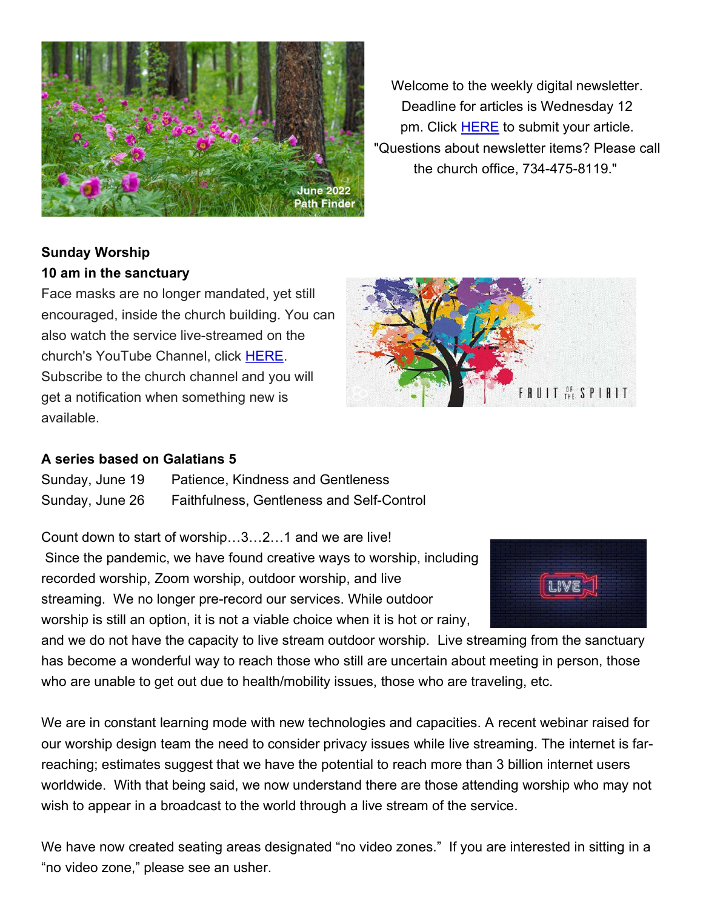

Welcome to the weekly digital newsletter. Deadline for articles is Wednesday 12 pm. Click HERE to submit your article. "Questions about newsletter items? Please call the church office, 734-475-8119."

# Sunday Worship 10 am in the sanctuary

Face masks are no longer mandated, yet still encouraged, inside the church building. You can also watch the service live-streamed on the church's YouTube Channel, click HERE. Subscribe to the church channel and you will get a notification when something new is available.



# A series based on Galatians 5

Sunday, June 19 Patience, Kindness and Gentleness Sunday, June 26 Faithfulness, Gentleness and Self-Control

Count down to start of worship…3…2…1 and we are live!

 Since the pandemic, we have found creative ways to worship, including recorded worship, Zoom worship, outdoor worship, and live streaming. We no longer pre-record our services. While outdoor worship is still an option, it is not a viable choice when it is hot or rainy,

and we do not have the capacity to live stream outdoor worship. Live streaming from the sanctuary has become a wonderful way to reach those who still are uncertain about meeting in person, those who are unable to get out due to health/mobility issues, those who are traveling, etc.

We are in constant learning mode with new technologies and capacities. A recent webinar raised for our worship design team the need to consider privacy issues while live streaming. The internet is farreaching; estimates suggest that we have the potential to reach more than 3 billion internet users worldwide. With that being said, we now understand there are those attending worship who may not wish to appear in a broadcast to the world through a live stream of the service.

We have now created seating areas designated "no video zones." If you are interested in sitting in a "no video zone," please see an usher.

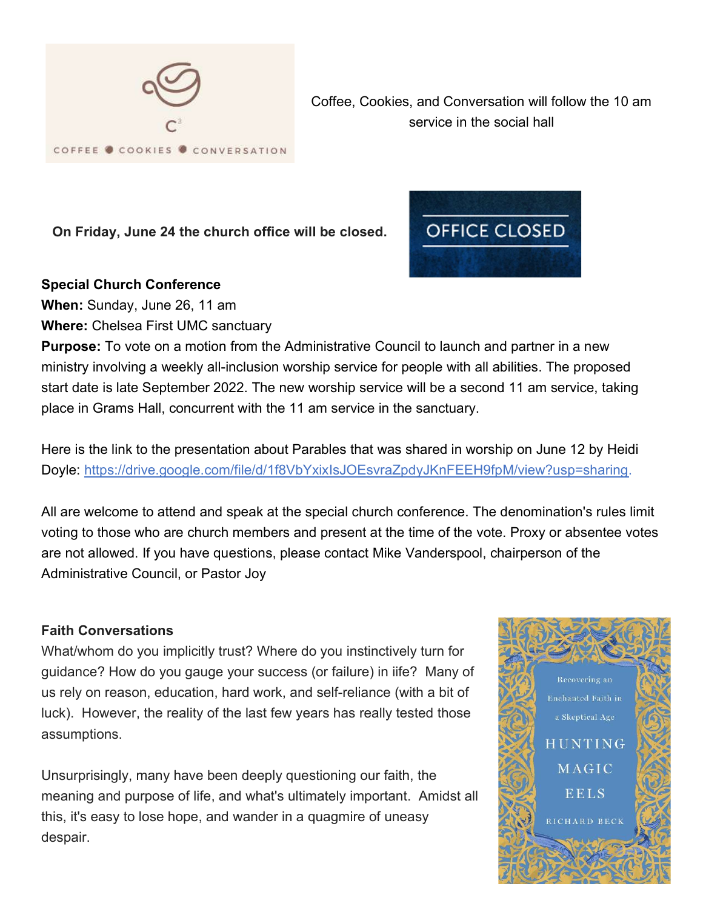

Coffee, Cookies, and Conversation will follow the 10 am service in the social hall

On Friday, June 24 the church office will be closed.

## Special Church Conference

When: Sunday, June 26, 11 am

Where: Chelsea First UMC sanctuary

**Purpose:** To vote on a motion from the Administrative Council to launch and partner in a new ministry involving a weekly all-inclusion worship service for people with all abilities. The proposed start date is late September 2022. The new worship service will be a second 11 am service, taking place in Grams Hall, concurrent with the 11 am service in the sanctuary.

Here is the link to the presentation about Parables that was shared in worship on June 12 by Heidi Doyle: https://drive.google.com/file/d/1f8VbYxixIsJOEsvraZpdyJKnFEEH9fpM/view?usp=sharing.

All are welcome to attend and speak at the special church conference. The denomination's rules limit voting to those who are church members and present at the time of the vote. Proxy or absentee votes are not allowed. If you have questions, please contact Mike Vanderspool, chairperson of the Administrative Council, or Pastor Joy

## Faith Conversations

What/whom do you implicitly trust? Where do you instinctively turn for guidance? How do you gauge your success (or failure) in iife? Many of us rely on reason, education, hard work, and self-reliance (with a bit of luck). However, the reality of the last few years has really tested those assumptions.

Unsurprisingly, many have been deeply questioning our faith, the meaning and purpose of life, and what's ultimately important. Amidst all this, it's easy to lose hope, and wander in a quagmire of uneasy despair.



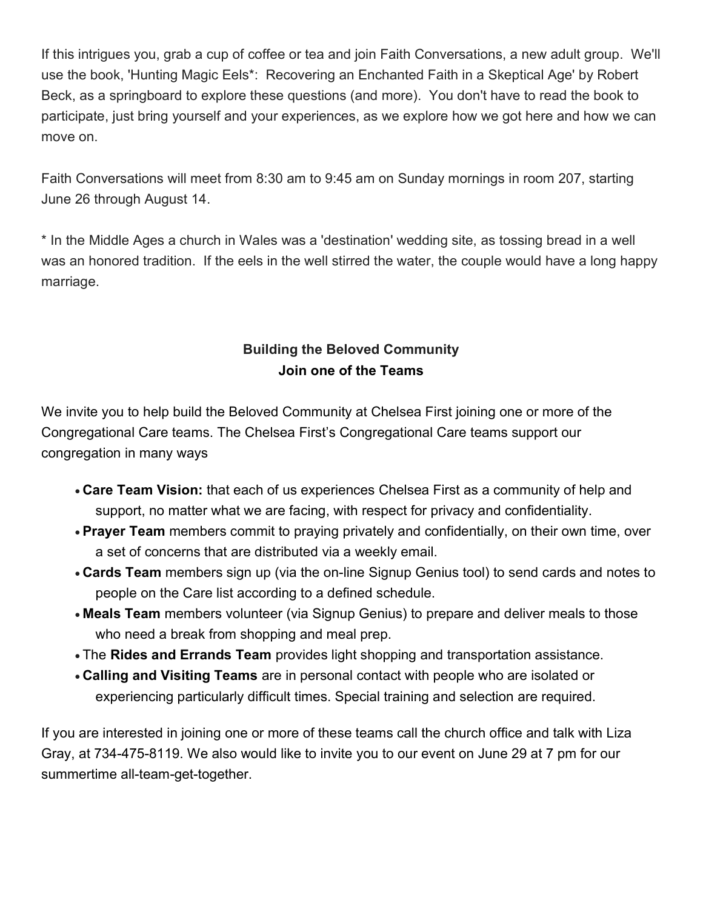If this intrigues you, grab a cup of coffee or tea and join Faith Conversations, a new adult group. We'll use the book, 'Hunting Magic Eels\*: Recovering an Enchanted Faith in a Skeptical Age' by Robert Beck, as a springboard to explore these questions (and more). You don't have to read the book to participate, just bring yourself and your experiences, as we explore how we got here and how we can move on.

Faith Conversations will meet from 8:30 am to 9:45 am on Sunday mornings in room 207, starting June 26 through August 14.

\* In the Middle Ages a church in Wales was a 'destination' wedding site, as tossing bread in a well was an honored tradition. If the eels in the well stirred the water, the couple would have a long happy marriage.

# Building the Beloved Community Join one of the Teams

We invite you to help build the Beloved Community at Chelsea First joining one or more of the Congregational Care teams. The Chelsea First's Congregational Care teams support our congregation in many ways

- Care Team Vision: that each of us experiences Chelsea First as a community of help and support, no matter what we are facing, with respect for privacy and confidentiality.
- Prayer Team members commit to praying privately and confidentially, on their own time, over a set of concerns that are distributed via a weekly email.
- Cards Team members sign up (via the on-line Signup Genius tool) to send cards and notes to people on the Care list according to a defined schedule.
- Meals Team members volunteer (via Signup Genius) to prepare and deliver meals to those who need a break from shopping and meal prep.
- The Rides and Errands Team provides light shopping and transportation assistance.
- Calling and Visiting Teams are in personal contact with people who are isolated or experiencing particularly difficult times. Special training and selection are required.

If you are interested in joining one or more of these teams call the church office and talk with Liza Gray, at 734-475-8119. We also would like to invite you to our event on June 29 at 7 pm for our summertime all-team-get-together.